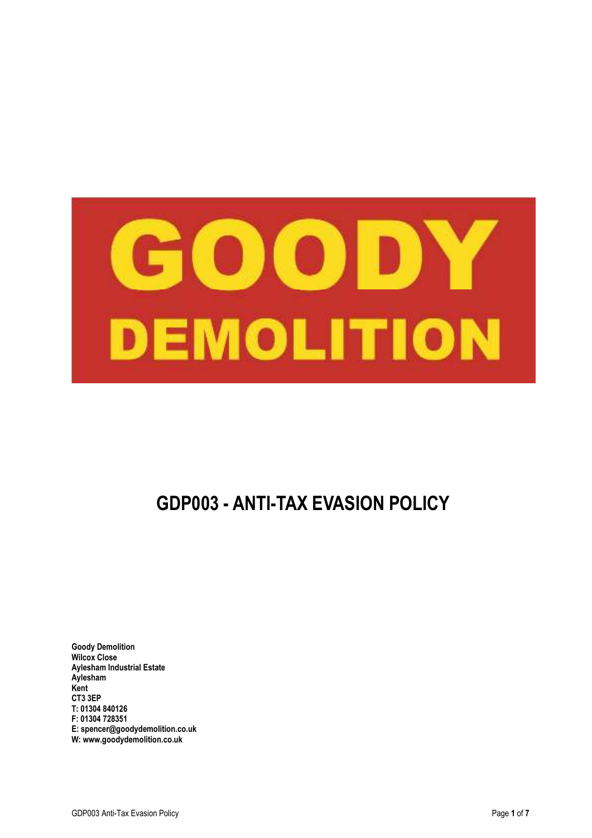

# **GDP003 - ANTI-TAX EVASION POLICY**

**Goody Demolition Wilcox Close Aylesham Industrial Estate Aylesham Kent CT3 3EP T: 01304 840126 F: 01304 728351 E: spencer@goodydemolition.co.uk W: www.goodydemolition.co.uk**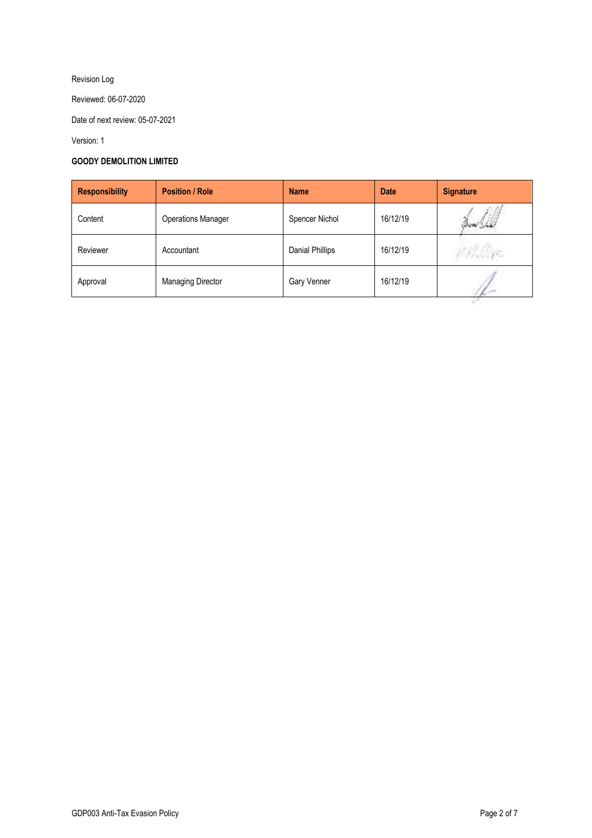## Revision Log

Reviewed: 06-07-2020

Date of next review: 05-07-2021

Version: 1

## **GOODY DEMOLITION LIMITED**

| <b>Responsibility</b> | <b>Position / Role</b>    | <b>Name</b>     | <b>Date</b> | <b>Signature</b> |
|-----------------------|---------------------------|-----------------|-------------|------------------|
| Content               | <b>Operations Manager</b> | Spencer Nichol  | 16/12/19    |                  |
| Reviewer              | Accountant                | Danial Phillips | 16/12/19    |                  |
| Approval              | <b>Managing Director</b>  | Gary Venner     | 16/12/19    |                  |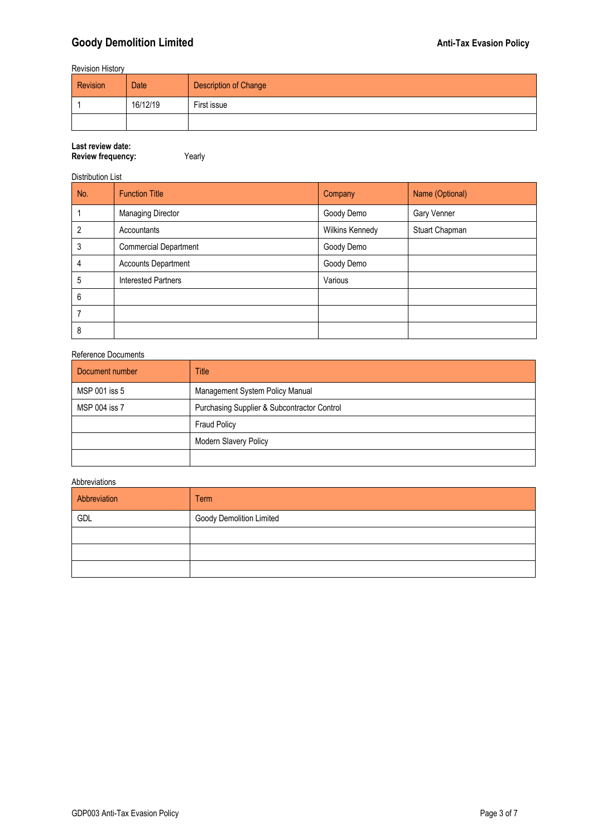## **Goody Demolition Limited Coody Demolition Limited Coody Demolition Limited Cooley Research 2012 12:00 Anti-Tax Evasion Policy**

Revision History

| Revision | Date     | <b>Description of Change</b> |
|----------|----------|------------------------------|
|          | 16/12/19 | First issue                  |
|          |          |                              |

## **Last review date:**

**Review frequency:** Yearly

#### Distribution List

| No. | <b>Function Title</b>        | Company         | Name (Optional) |
|-----|------------------------------|-----------------|-----------------|
|     | <b>Managing Director</b>     | Goody Demo      | Gary Venner     |
| 2   | Accountants                  | Wilkins Kennedy | Stuart Chapman  |
| 3   | <b>Commercial Department</b> | Goody Demo      |                 |
| 4   | <b>Accounts Department</b>   | Goody Demo      |                 |
| 5   | <b>Interested Partners</b>   | Various         |                 |
| 6   |                              |                 |                 |
|     |                              |                 |                 |
| 8   |                              |                 |                 |

#### Reference Documents

| Document number | <b>Title</b>                                |
|-----------------|---------------------------------------------|
| MSP 001 iss 5   | Management System Policy Manual             |
| MSP 004 iss 7   | Purchasing Supplier & Subcontractor Control |
|                 | <b>Fraud Policy</b>                         |
|                 | <b>Modern Slavery Policy</b>                |
|                 |                                             |

## Abbreviations

| Abbreviation | <b>Term</b>                     |
|--------------|---------------------------------|
| GDL          | <b>Goody Demolition Limited</b> |
|              |                                 |
|              |                                 |
|              |                                 |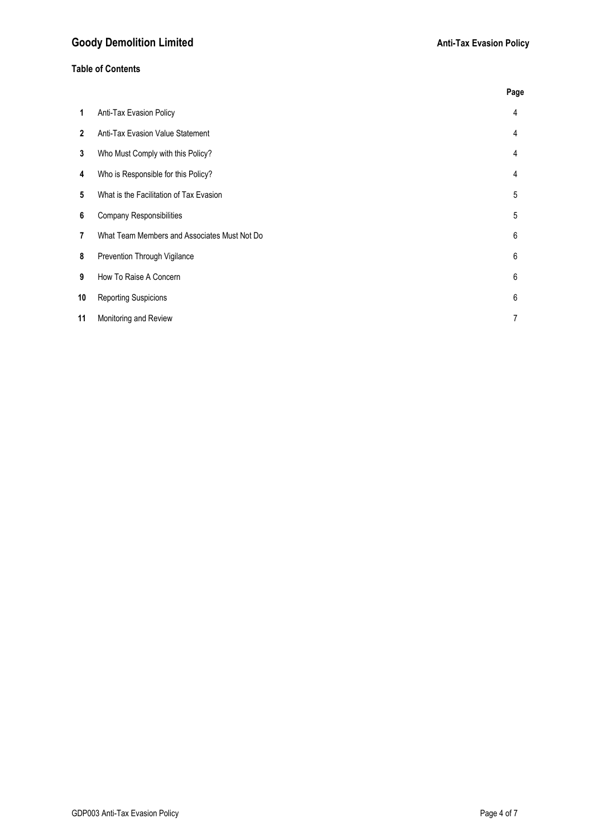## **Table of Contents**

|                         |                                              | Page           |
|-------------------------|----------------------------------------------|----------------|
| 1                       | Anti-Tax Evasion Policy                      | 4              |
| $\overline{2}$          | Anti-Tax Evasion Value Statement             | 4              |
| 3                       | Who Must Comply with this Policy?            | $\overline{4}$ |
| $\overline{\mathbf{4}}$ | Who is Responsible for this Policy?          | 4              |
| 5                       | What is the Facilitation of Tax Evasion      | 5              |
| 6                       | <b>Company Responsibilities</b>              | 5              |
| 7                       | What Team Members and Associates Must Not Do | 6              |
| 8                       | Prevention Through Vigilance                 | 6              |
| 9                       | How To Raise A Concern                       | 6              |
| 10                      | <b>Reporting Suspicions</b>                  | 6              |
| 11                      | Monitoring and Review                        | 7              |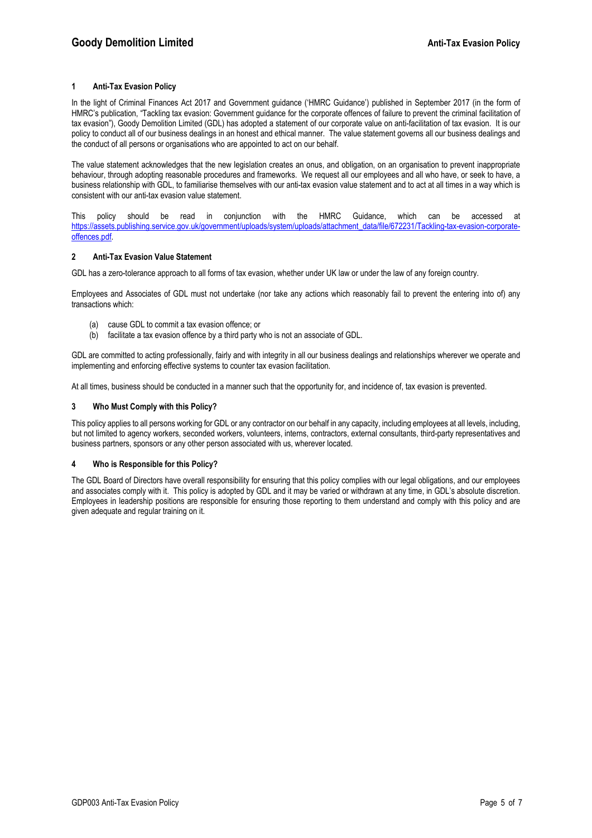#### **1 Anti-Tax Evasion Policy**

In the light of Criminal Finances Act 2017 and Government guidance ('HMRC Guidance') published in September 2017 (in the form of HMRC's publication, "Tackling tax evasion: Government guidance for the corporate offences of failure to prevent the criminal facilitation of tax evasion"), Goody Demolition Limited (GDL) has adopted a statement of our corporate value on anti-facilitation of tax evasion. It is our policy to conduct all of our business dealings in an honest and ethical manner. The value statement governs all our business dealings and the conduct of all persons or organisations who are appointed to act on our behalf.

The value statement acknowledges that the new legislation creates an onus, and obligation, on an organisation to prevent inappropriate behaviour, through adopting reasonable procedures and frameworks. We request all our employees and all who have, or seek to have, a business relationship with GDL, to familiarise themselves with our anti-tax evasion value statement and to act at all times in a way which is consistent with our anti-tax evasion value statement.

This policy should be read in conjunction with the HMRC Guidance, which can be accessed at https://assets.publishing.service.gov.uk/government/uploads/system/uploads/attachment\_data/file/672231/Tackling-tax-evasion-corporateoffences.pdf.

#### **2 Anti-Tax Evasion Value Statement**

GDL has a zero-tolerance approach to all forms of tax evasion, whether under UK law or under the law of any foreign country.

Employees and Associates of GDL must not undertake (nor take any actions which reasonably fail to prevent the entering into of) any transactions which:

- (a) cause GDL to commit a tax evasion offence; or
- (b) facilitate a tax evasion offence by a third party who is not an associate of GDL.

GDL are committed to acting professionally, fairly and with integrity in all our business dealings and relationships wherever we operate and implementing and enforcing effective systems to counter tax evasion facilitation.

At all times, business should be conducted in a manner such that the opportunity for, and incidence of, tax evasion is prevented.

#### **3 Who Must Comply with this Policy?**

This policy applies to all persons working for GDL or any contractor on our behalf in any capacity, including employees at all levels, including, but not limited to agency workers, seconded workers, volunteers, interns, contractors, external consultants, third-party representatives and business partners, sponsors or any other person associated with us, wherever located.

#### **4 Who is Responsible for this Policy?**

The GDL Board of Directors have overall responsibility for ensuring that this policy complies with our legal obligations, and our employees and associates comply with it. This policy is adopted by GDL and it may be varied or withdrawn at any time, in GDL's absolute discretion. Employees in leadership positions are responsible for ensuring those reporting to them understand and comply with this policy and are given adequate and regular training on it.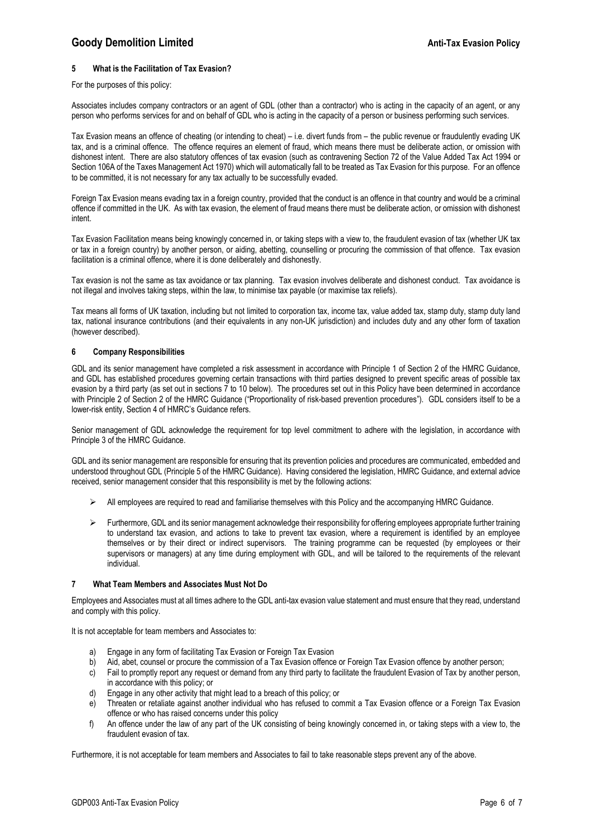## **Goody Demolition Limited Anti-Tax Evasion Policy Anti-Tax Evasion Policy Anti-Tax Evasion Policy**

#### **5 What is the Facilitation of Tax Evasion?**

#### For the purposes of this policy:

Associates includes company contractors or an agent of GDL (other than a contractor) who is acting in the capacity of an agent, or any person who performs services for and on behalf of GDL who is acting in the capacity of a person or business performing such services.

Tax Evasion means an offence of cheating (or intending to cheat) – i.e. divert funds from – the public revenue or fraudulently evading UK tax, and is a criminal offence. The offence requires an element of fraud, which means there must be deliberate action, or omission with dishonest intent. There are also statutory offences of tax evasion (such as contravening Section 72 of the Value Added Tax Act 1994 or Section 106A of the Taxes Management Act 1970) which will automatically fall to be treated as Tax Evasion for this purpose. For an offence to be committed, it is not necessary for any tax actually to be successfully evaded.

Foreign Tax Evasion means evading tax in a foreign country, provided that the conduct is an offence in that country and would be a criminal offence if committed in the UK. As with tax evasion, the element of fraud means there must be deliberate action, or omission with dishonest intent.

Tax Evasion Facilitation means being knowingly concerned in, or taking steps with a view to, the fraudulent evasion of tax (whether UK tax or tax in a foreign country) by another person, or aiding, abetting, counselling or procuring the commission of that offence. Tax evasion facilitation is a criminal offence, where it is done deliberately and dishonestly.

Tax evasion is not the same as tax avoidance or tax planning. Tax evasion involves deliberate and dishonest conduct. Tax avoidance is not illegal and involves taking steps, within the law, to minimise tax payable (or maximise tax reliefs).

Tax means all forms of UK taxation, including but not limited to corporation tax, income tax, value added tax, stamp duty, stamp duty land tax, national insurance contributions (and their equivalents in any non-UK jurisdiction) and includes duty and any other form of taxation (however described).

#### **6 Company Responsibilities**

GDL and its senior management have completed a risk assessment in accordance with Principle 1 of Section 2 of the HMRC Guidance, and GDL has established procedures governing certain transactions with third parties designed to prevent specific areas of possible tax evasion by a third party (as set out in sections 7 to 10 below). The procedures set out in this Policy have been determined in accordance with Principle 2 of Section 2 of the HMRC Guidance ("Proportionality of risk-based prevention procedures"). GDL considers itself to be a lower-risk entity, Section 4 of HMRC's Guidance refers.

Senior management of GDL acknowledge the requirement for top level commitment to adhere with the legislation, in accordance with Principle 3 of the HMRC Guidance.

GDL and its senior management are responsible for ensuring that its prevention policies and procedures are communicated, embedded and understood throughout GDL (Principle 5 of the HMRC Guidance). Having considered the legislation, HMRC Guidance, and external advice received, senior management consider that this responsibility is met by the following actions:

- All employees are required to read and familiarise themselves with this Policy and the accompanying HMRC Guidance.
- $\triangleright$  Furthermore, GDL and its senior management acknowledge their responsibility for offering employees appropriate further training to understand tax evasion, and actions to take to prevent tax evasion, where a requirement is identified by an employee themselves or by their direct or indirect supervisors. The training programme can be requested (by employees or their supervisors or managers) at any time during employment with GDL, and will be tailored to the requirements of the relevant individual.

#### **7 What Team Members and Associates Must Not Do**

Employees and Associates must at all times adhere to the GDL anti-tax evasion value statement and must ensure that they read, understand and comply with this policy.

It is not acceptable for team members and Associates to:

- a) Engage in any form of facilitating Tax Evasion or Foreign Tax Evasion
- b) Aid, abet, counsel or procure the commission of a Tax Evasion offence or Foreign Tax Evasion offence by another person;
- c) Fail to promptly report any request or demand from any third party to facilitate the fraudulent Evasion of Tax by another person, in accordance with this policy; or
- d) Engage in any other activity that might lead to a breach of this policy; or
- e) Threaten or retaliate against another individual who has refused to commit a Tax Evasion offence or a Foreign Tax Evasion offence or who has raised concerns under this policy
- f) An offence under the law of any part of the UK consisting of being knowingly concerned in, or taking steps with a view to, the fraudulent evasion of tax.

Furthermore, it is not acceptable for team members and Associates to fail to take reasonable steps prevent any of the above.